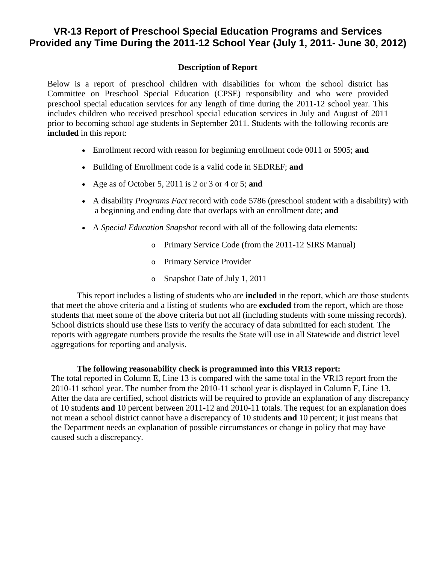## **VR-13 Report of Preschool Special Education Programs and Services Provided any Time During the 2011-12 School Year (July 1, 2011- June 30, 2012)**

## **Description of Report**

Below is a report of preschool children with disabilities for whom the school district has Committee on Preschool Special Education (CPSE) responsibility and who were provided preschool special education services for any length of time during the 2011-12 school year. This includes children who received preschool special education services in July and August of 2011 prior to becoming school age students in September 2011. Students with the following records are **included** in this report:

- Enrollment record with reason for beginning enrollment code 0011 or 5905; **and**
- Building of Enrollment code is a valid code in SEDREF; **and**
- Age as of October 5, 2011 is 2 or 3 or 4 or 5; **and**
- A disability *Programs Fact* record with code 5786 (preschool student with a disability) with a beginning and ending date that overlaps with an enrollment date; **and**
- A *Special Education Snapshot* record with all of the following data elements:
	- o Primary Service Code (from the 2011-12 SIRS Manual)
	- o Primary Service Provider
	- o Snapshot Date of July 1, 2011

This report includes a listing of students who are **included** in the report, which are those students that meet the above criteria and a listing of students who are **excluded** from the report, which are those students that meet some of the above criteria but not all (including students with some missing records). School districts should use these lists to verify the accuracy of data submitted for each student. The reports with aggregate numbers provide the results the State will use in all Statewide and district level aggregations for reporting and analysis.

## **The following reasonability check is programmed into this VR13 report:**

The total reported in Column E, Line 13 is compared with the same total in the VR13 report from the 2010-11 school year. The number from the 2010-11 school year is displayed in Column F, Line 13. After the data are certified, school districts will be required to provide an explanation of any discrepancy of 10 students **and** 10 percent between 2011-12 and 2010-11 totals. The request for an explanation does not mean a school district cannot have a discrepancy of 10 students **and** 10 percent; it just means that the Department needs an explanation of possible circumstances or change in policy that may have caused such a discrepancy.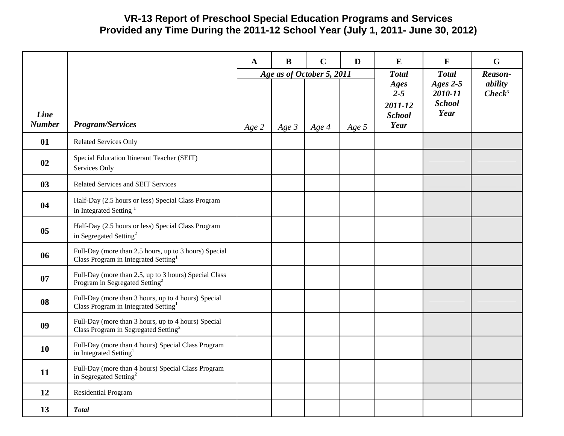## **VR-13 Report of Preschool Special Education Programs and Services Provided any Time During the 2011-12 School Year (July 1, 2011- June 30, 2012)**

|                       |                                                                                                           | $\mathbf{A}$ | $\bf{B}$                  | $\mathbf C$ | D       | E                                                   | $\mathbf{F}$                                   | G                    |
|-----------------------|-----------------------------------------------------------------------------------------------------------|--------------|---------------------------|-------------|---------|-----------------------------------------------------|------------------------------------------------|----------------------|
|                       |                                                                                                           |              | Age as of October 5, 2011 |             |         |                                                     | <b>Total</b>                                   | Reason-              |
| Line<br><b>Number</b> | <b>Program/Services</b>                                                                                   | Age 2        | Age $3$                   | Age 4       | Age $5$ | Ages<br>$2 - 5$<br>2011-12<br><b>School</b><br>Year | Ages $2-5$<br>2010-11<br><b>School</b><br>Year | ability<br>$Check^3$ |
| 01                    | <b>Related Services Only</b>                                                                              |              |                           |             |         |                                                     |                                                |                      |
| 02                    | Special Education Itinerant Teacher (SEIT)<br>Services Only                                               |              |                           |             |         |                                                     |                                                |                      |
| 03                    | Related Services and SEIT Services                                                                        |              |                           |             |         |                                                     |                                                |                      |
| 04                    | Half-Day (2.5 hours or less) Special Class Program<br>in Integrated Setting <sup>1</sup>                  |              |                           |             |         |                                                     |                                                |                      |
| 0 <sub>5</sub>        | Half-Day (2.5 hours or less) Special Class Program<br>in Segregated Setting <sup>2</sup>                  |              |                           |             |         |                                                     |                                                |                      |
| 06                    | Full-Day (more than 2.5 hours, up to 3 hours) Special<br>Class Program in Integrated Setting <sup>1</sup> |              |                           |             |         |                                                     |                                                |                      |
| 07                    | Full-Day (more than 2.5, up to 3 hours) Special Class<br>Program in Segregated Setting <sup>2</sup>       |              |                           |             |         |                                                     |                                                |                      |
| 08                    | Full-Day (more than 3 hours, up to 4 hours) Special<br>Class Program in Integrated Setting <sup>1</sup>   |              |                           |             |         |                                                     |                                                |                      |
| 09                    | Full-Day (more than 3 hours, up to 4 hours) Special<br>Class Program in Segregated Setting <sup>2</sup>   |              |                           |             |         |                                                     |                                                |                      |
| 10                    | Full-Day (more than 4 hours) Special Class Program<br>in Integrated Setting <sup>1</sup>                  |              |                           |             |         |                                                     |                                                |                      |
| 11                    | Full-Day (more than 4 hours) Special Class Program<br>in Segregated Setting <sup>2</sup>                  |              |                           |             |         |                                                     |                                                |                      |
| 12                    | Residential Program                                                                                       |              |                           |             |         |                                                     |                                                |                      |
| 13                    | <b>Total</b>                                                                                              |              |                           |             |         |                                                     |                                                |                      |